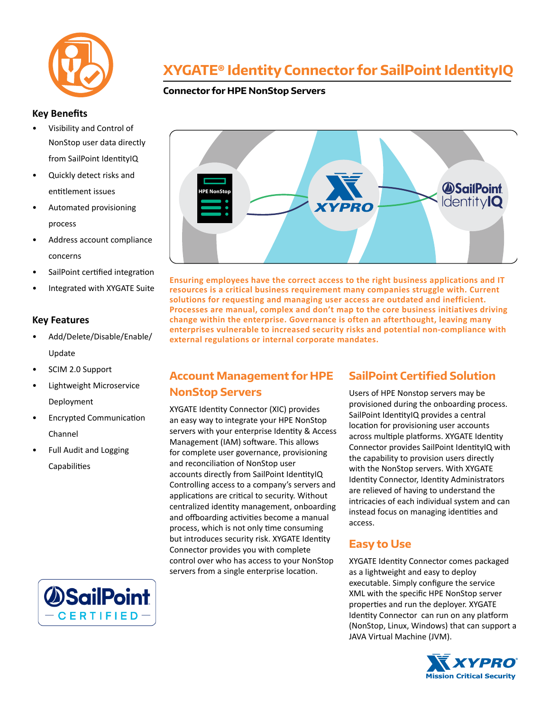

### **Key Benefits**

- Visibility and Control of NonStop user data directly from SailPoint IdentityIQ
- Quickly detect risks and entitlement issues
- Automated provisioning process
- Address account compliance concerns
- SailPoint certified integration
- Integrated with XYGATE Suite

#### **Key Features**

- Add/Delete/Disable/Enable/ Update
- SCIM 2.0 Support
- Lightweight Microservice Deployment
- Encrypted Communication Channel
- Full Audit and Logging Capabilities

# **XYGATE® Identity Connector for SailPoint IdentityIQ**

### **Connector for HPE NonStop Servers**



**Ensuring employees have the correct access to the right business applications and IT resources is a critical business requirement many companies struggle with. Current solutions for requesting and managing user access are outdated and inefficient. Processes are manual, complex and don't map to the core business initiatives driving change within the enterprise. Governance is often an afterthought, leaving many enterprises vulnerable to increased security risks and potential non-compliance with external regulations or internal corporate mandates.**

## **Account Management for HPE**

### **NonStop Servers**

XYGATE Identity Connector (XIC) provides an easy way to integrate your HPE NonStop servers with your enterprise Identity & Access Management (IAM) software. This allows for complete user governance, provisioning and reconciliation of NonStop user accounts directly from SailPoint IdentityIQ Controlling access to a company's servers and applications are critical to security. Without centralized identity management, onboarding and offboarding activities become a manual process, which is not only time consuming but introduces security risk. XYGATE Identity Connector provides you with complete control over who has access to your NonStop servers from a single enterprise location.

## **SailPoint Certified Solution**

Users of HPE Nonstop servers may be provisioned during the onboarding process. SailPoint IdentityIQ provides a central location for provisioning user accounts across multiple platforms. XYGATE Identity Connector provides SailPoint IdentityIQ with the capability to provision users directly with the NonStop servers. With XYGATE Identity Connector, Identity Administrators are relieved of having to understand the intricacies of each individual system and can instead focus on managing identities and access.

## **Easy to Use**

XYGATE Identity Connector comes packaged as a lightweight and easy to deploy executable. Simply configure the service XML with the specific HPE NonStop server properties and run the deployer. XYGATE Identity Connector can run on any platform (NonStop, Linux, Windows) that can support a JAVA Virtual Machine (JVM).